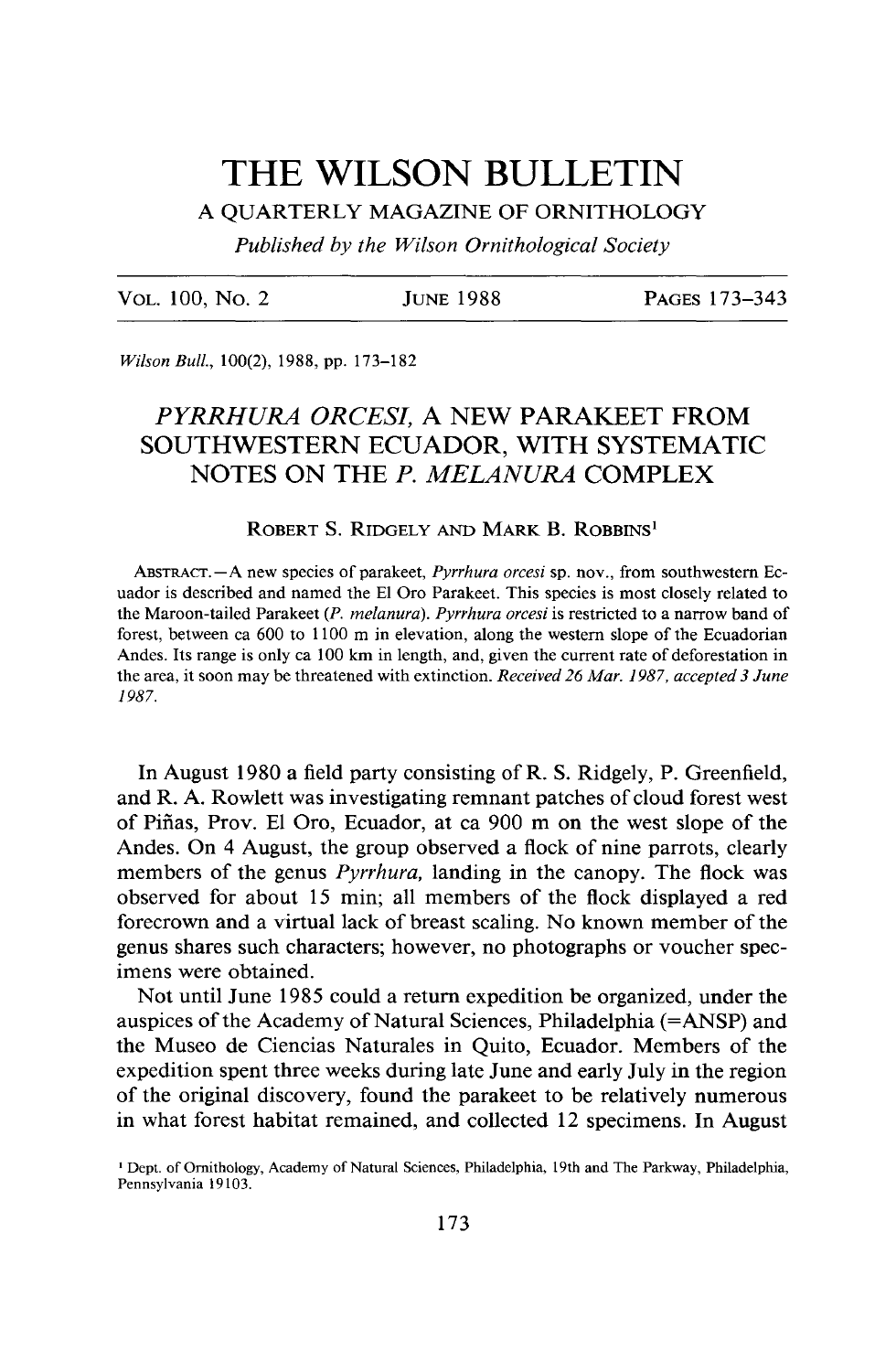# **THE WILSON BULLETIN**

**A QUARTERLY MAGAZINE OF ORNITHOLOGY** 

**Published by the Wilson Ornithological Society** 

**VOL. 100, No. 2 JUNE 1988 PAGES 173-343** 

**Wilson Bull., 100(2), 1988, pp. 173-182** 

# **PYRRHURA ORCESI, A NEW PARAKEET FROM SOUTHWESTERN ECUADOR, WITH SYSTEMATIC NOTES ON THE P. MELANURA COMPLEX**

### **ROBERT S. RIDGELY AND MARK B. ROBBINS'**

ABSTRACT. - A new species of parakeet, *Pyrrhura orcesi* sp. nov., from southwestern Ec**uador is described and named the El Oro Parakeet. This species is most closely related to the Maroon-tailed Parakeet (P. melanura). Pyrrhura orcesi is restricted to a narrow band of forest, between ca 600 to 1100 m in elevation, along the western slope of the Ecuadorian Andes. Its range is only ca 100 km in length, and, given the current rate of deforestation in the area, it soon may be threatened with extinction. Received 26 Mar. 1987, accepted 3 June 1987.** 

**In August 1980 a field party consisting of R. S. Ridgely, P. Greenfield, and R. A. Rowlett was investigating remnant patches of cloud forest west of Piiias, Prov. El Oro, Ecuador, at ca 900 m on the west slope of the Andes. On 4 August, the group observed a flock of nine parrots, clearly members of the genus Pyrrhura, landing in the canopy. The flock was observed for about 15 min; all members of the flock displayed a red forecrown and a virtual lack of breast scaling. No known member of the genus shares such characters; however, no photographs or voucher specimens were obtained.** 

**Not until June 1985 could a return expedition be organized, under the auspices of the Academy of Natural Sciences, Philadelphia (=ANSP) and the Museo de Ciencias Naturales in Quito, Ecuador. Members of the expedition spent three weeks during late June and early July in the region of the original discovery, found the parakeet to be relatively numerous in what forest habitat remained, and collected 12 specimens. In August** 

**<sup>&#</sup>x27; Dept. of Ornithology, Academy of Natural Sciences, Philadelphia, 19th and The Parkway, Philadelphia, Pennsylvania 19103.**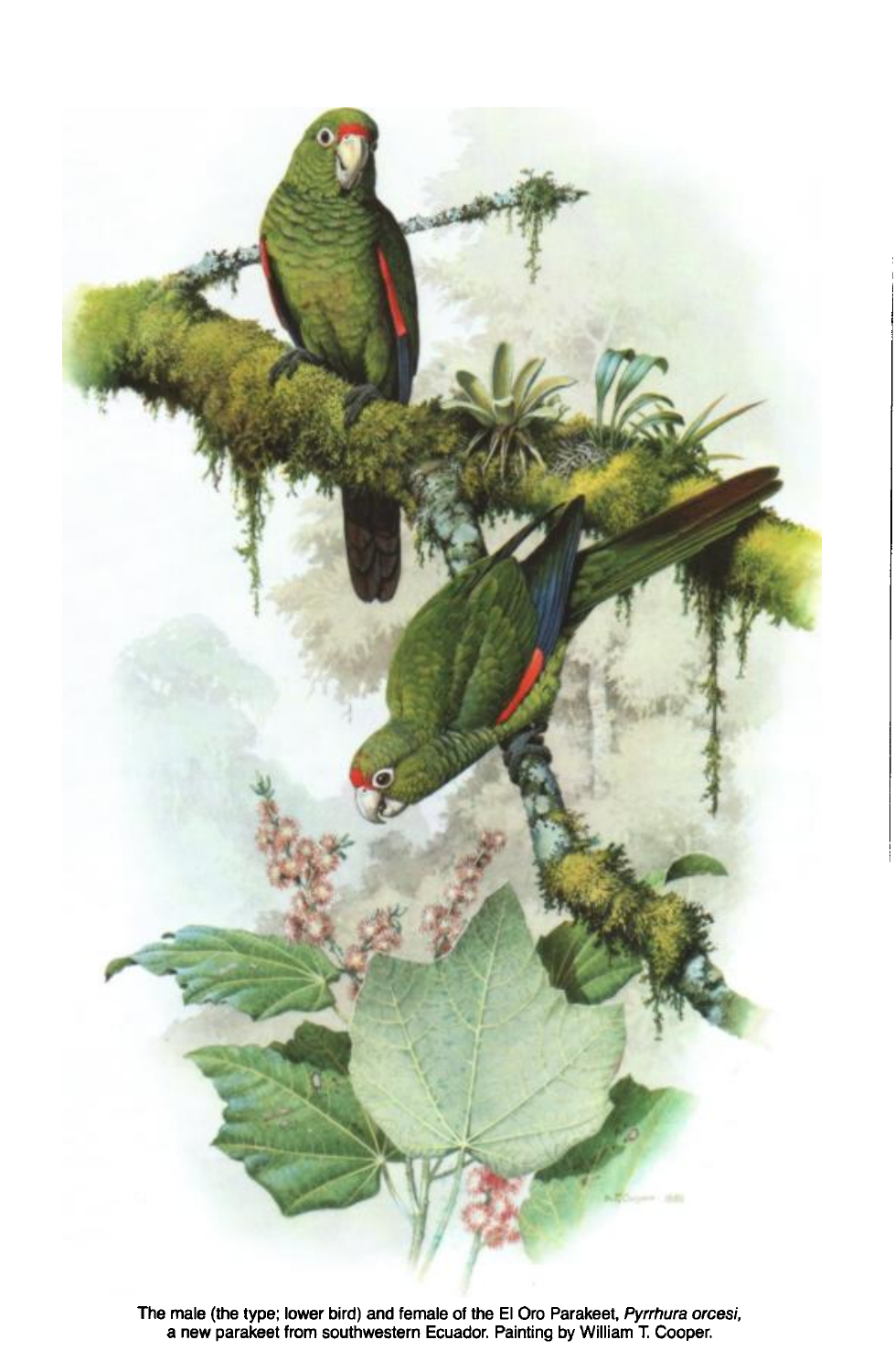

**The male (the type; lower bird) and female of the El Oro Parakeet, Pyrrhura orcesi, a new parakeet from southwestern Ecuador. Painting by William T Cooper.**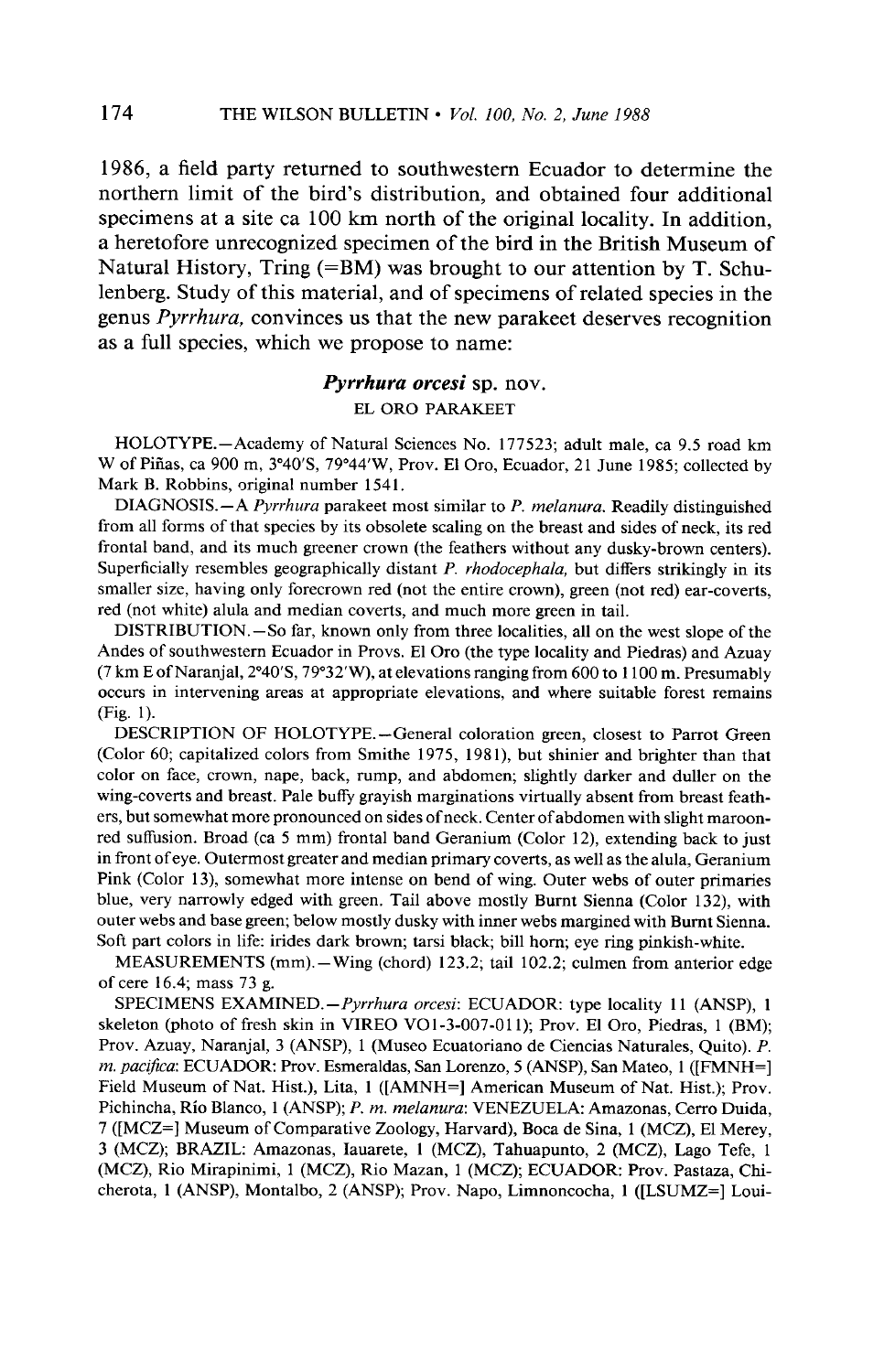**1986, a field party returned to southwestern Ecuador to determine the northern limit of the bird's distribution, and obtained four additional specimens at a site ca 100 km north of the original locality. In addition, a heretofore unrecognized specimen of the bird in the British Museum of Natural History, Tring (=BM) was brought to our attention by T. Schulenberg. Study of this material, and of specimens of related species in the genus Pyrrhura, convinces us that the new parakeet deserves recognition as a full species, which we propose to name:** 

## **Pyrrhura orcesi sp. nov. EL OR0 PARAKEET**

**HOLOTYPE.-Academy of Natural Sciences No. 177523; adult male, ca 9.5 road km**  W of Piñas, ca 900 m, 3°40'S, 79°44'W, Prov. El Oro, Ecuador, 21 June 1985; collected by **Mark B. Robbins, original number 154 1.** 

**DIAGNOSIS.**-A Pyrrhura parakeet most similar to P. melanura. Readily distinguished **from all forms of that species by its obsolete scaling on the breast and sides of neck, its red frontal band, and its much greener crown (the feathers without any dusky-brown centers).**  Superficially resembles geographically distant P. rhodocephala, but differs strikingly in its **smaller size, having only forecrown red (not the entire crown), green (not red) ear-coverts, red (not white) alula and median coverts, and much more green in tail.** 

**DISTRIBUTION.-So far, known only from three localities, all on the west slope of the Andes of southwestern Ecuador in Provs. El Oro (the type locality and Piedras) and Azuay (7 km E ofNaranjal,2"4OS, ' 79"32W), ' at elevations ranging from 600 to 1100 m. Presumably occurs in intervening areas at appropriate elevations, and where suitable forest remains (Fig. 1).** 

**DESCRIPTION OF HOLOTYPE.-General coloration green, closest to Parrot Green (Color 60; capitalized colors from Smithe 1975, 198 l), but shinier and brighter than that color on face, crown, nape, back, rump, and abdomen; slightly darker and duller on the wing-coverts and breast. Pale buffy grayish marginations virtually absent from breast feathers, but somewhat more pronounced on sides of neck. Center of abdomen with slight maroonred suffusion. Broad (ca 5 mm) frontal band Geranium (Color 12), extending back to just in front ofeye. Outermost greater and median primary coverts, as well as the alula, Geranium Pink (Color 13) somewhat more intense on bend of wing. Outer webs of outer primaries blue, very narrowly edged with green. Tail above mostly Burnt Sienna (Color 132), with outer webs and base green; below mostly dusky with inner webs margined with Burnt Sienna. Soft part colors in life: irides dark brown; tarsi black; bill horn; eye ring pinkish-white.** 

**MEASUREMENTS (mm). - Wing (chord) 123.2; tail 102.2; culmen from anterior edge of cere 16.4; mass 73 g.** 

SPECIMENS EXAMINED.-Pyrrhura orcesi: ECUADOR: type locality 11 (ANSP), 1 **skeleton (photo of fresh skin in VIREO VOl-3-007-011); Prov. El Oro, Piedras, 1 (BM);**  Prov. Azuay, Naranjal, 3 (ANSP), 1 (Museo Ecuatoriano de Ciencias Naturales, Quito). P. *m. pacifica*: ECUADOR: Prov. Esmeraldas, San Lorenzo, 5 (ANSP), San Mateo, 1 ([FMNH=] Field Museum of Nat. Hist.), Lita, 1 ([AMNH=] American Museum of Nat. Hist.); Prov. Pichincha, Río Blanco, 1 (ANSP); P. m. melanura: VENEZUELA: Amazonas, Cerro Duida, **7 ([MCZ=] Museum of Comparative Zoology, Harvard), Boca de Sina, 1 (MCZ), El Merey, 3 (MCZ); BRAZIL: Amazonas, Iauarete, 1 (MCZ), Tahuapunto, 2 (MCZ), Lago Tefe, 1 (MCZ), Rio Mirapinimi, 1 (MCZ), Rio Mazan, 1 (MCZ); ECUADOR: Prov. Pastaza, Chicherota, 1 (ANSP), Montalbo, 2 (ANSP); Prov. Napo, Limnoncocha, 1 ([LSUMZ=] Loui-**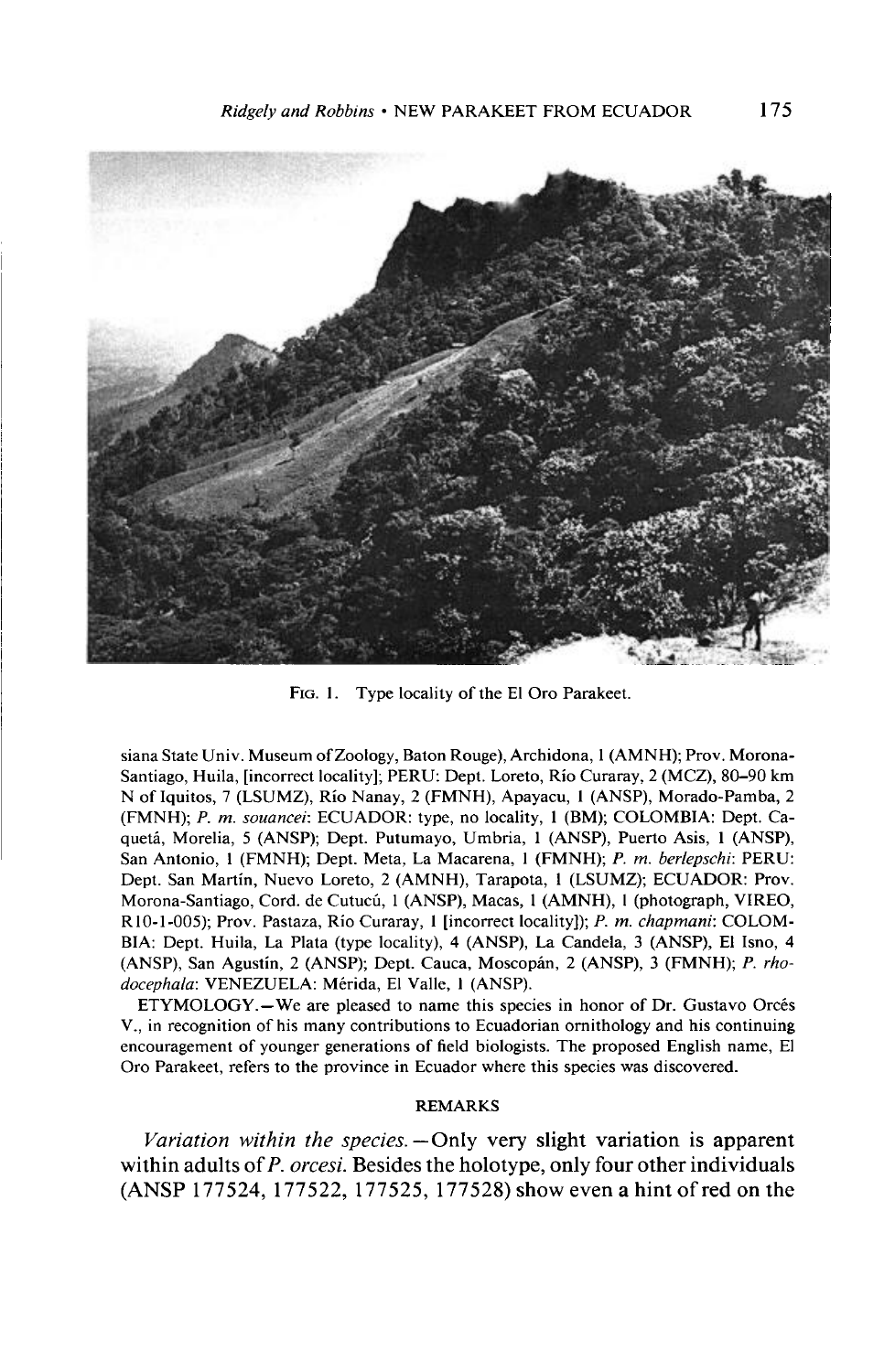

**FIG. 1. Type locality of the El Oro Parakeet.** 

**siana State Univ. Museum ofZoology, Baton Rouge), Archidona, 1 (AMNH); Prov. Morona-Santiago, Huila, [incorrect locality]; PERU: Dept. Loreto, Rio Curaray, 2 (MCZ), 80-90 km N of Iquitos, 7 (LSUMZ), Rio Nanay, 2 (FMNH), Apayacu, 1 (ANSP), Morado-Pamba, 2 (FMNH); P. m. souancei: ECUADOR: type, no locality, 1 (BM); COLOMBIA: Dept. Ca**quetá, Morelia, 5 (ANSP); Dept. Putumayo, Umbria, 1 (ANSP), Puerto Asis, 1 (ANSP), **San Antonio, 1 (FMNH); Dept. Meta, La Macarena, 1 (FMNH); P. m. berlepschi: PERU: Dept. San Martin, Nuevo Loreto, 2 (AMNH), Tarapota, 1 (LSUMZ); ECUADOR: Prov. Morona-Santiago, Cord. de Cutuch, 1 (ANSP), Macas, 1 (AMNH), I (photograph, VIREO,**  R10-1-005); Prov. Pastaza, Río Curaray, 1 [incorrect locality]); P. m. chapmani: COLOM-**BIA: Dept. Huila, La Plata (type locality), 4 (ANSP), La Candela, 3 (ANSP), El Isno, 4 (ANSP), San Agustin, 2 (ANSP); Dept. Cauca, Moscopan, 2 (ANSP), 3 (FMNH); P. rhodocephalu: VENEZUELA: Merida, El Valle, I (ANSP).** 

**ETYMOLOGY.**-We are pleased to name this species in honor of Dr. Gustavo Orcés **V., in recognition of his many contributions to Ecuadorian ornithology and his continuing encouragement of younger generations of field biologists. The proposed English name, El Oro Parakeet, refers to the province in Ecuador where this species was discovered.** 

#### **REMARKS**

Variation within the species. - Only very slight variation is apparent **within adults of P. orcesi. Besides the holotype, only four other individuals (ANSP 177524, 177522, 177525, 177528) show even a hint ofred on the**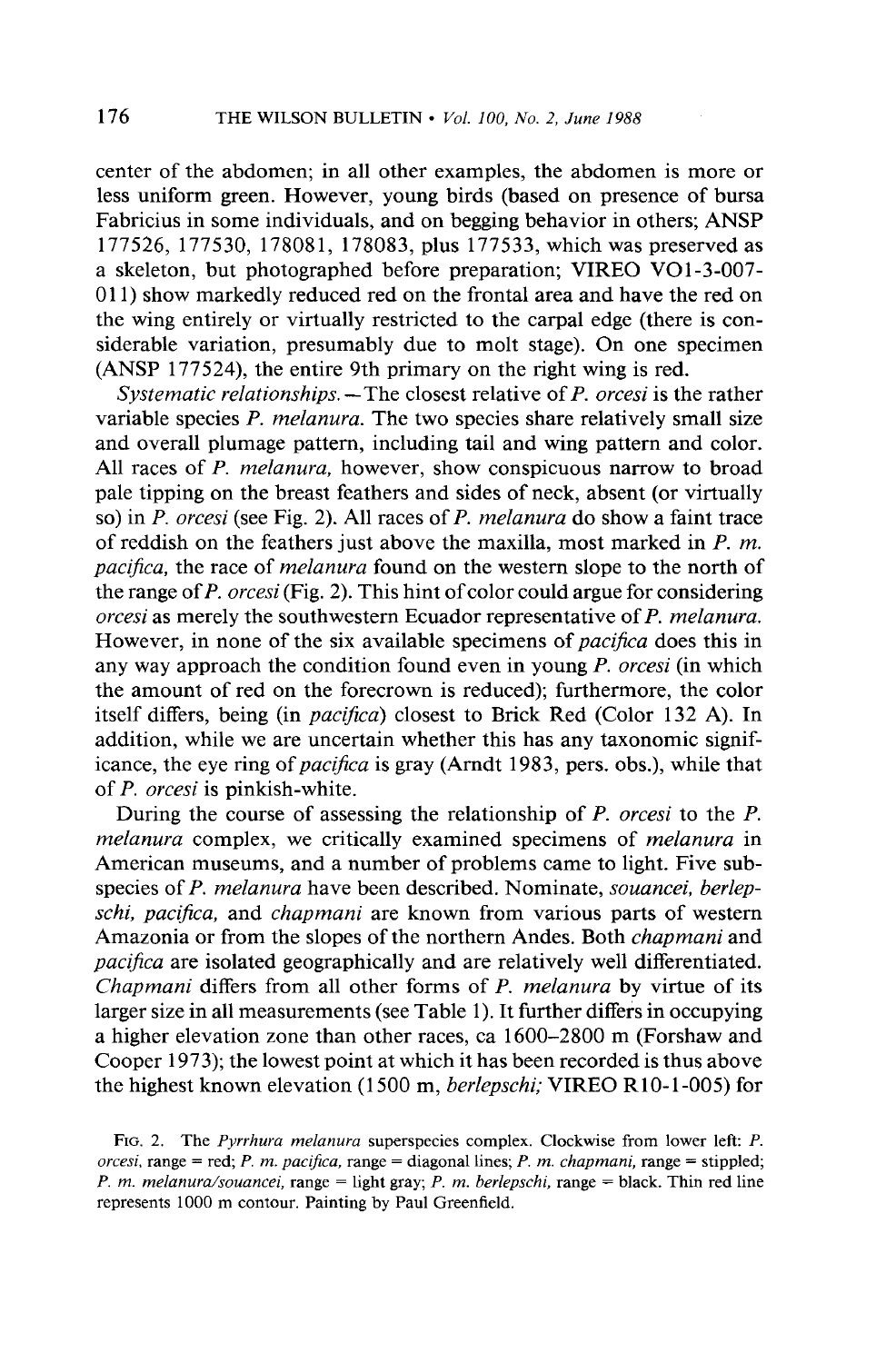**center of the abdomen; in all other examples, the abdomen is more or less uniform green. However, young birds (based on presence of bursa Fabricius in some individuals, and on begging behavior in others; ANSP 177526, 177530, 178081, 178083, plus 177533, which was preserved as a skeleton, but photographed before preparation; VIREO VO 1-3-007- 01 1) show markedly reduced red on the frontal area and have the red on the wing entirely or virtually restricted to the carpal edge (there is considerable variation, presumably due to molt stage). On one specimen (ANSP 177524), the entire 9th primary on the right wing is red.** 

Systematic relationships. - The closest relative of P. orcesi is the rather **variable species P. melanura. The two species share relatively small size and overall plumage pattern, including tail and wing pattern and color. All races of P. melanura, however, show conspicuous narrow to broad pale tipping on the breast feathers and sides of neck, absent (or virtually so) in P. orcesi (see Fig. 2). All races of P. melanura do show a faint trace of reddish on the feathers just above the maxilla, most marked in P. m. pacifica, the race of melanura found on the western slope to the north of the range of P. orcesi (Fig. 2). This hint of color could argue for considering orcesi as merely the southwestern Ecuador representative of P. melanura. However, in none of the six available specimens of pacijca does this in any way approach the condition found even in young P. orcesi (in which the amount of red on the forecrown is reduced); furthermore, the color**  itself differs, being (in *pacifica*) closest to Brick Red (Color 132 A). In **addition, while we are uncertain whether this has any taxonomic significance, the eye ring of pacifica is gray (Amdt 1983, pers. obs.), while that of P. orcesi is pinkish-white.** 

**During the course of assessing the relationship of P. orcesi to the P. melanura complex, we critically examined specimens of melanura in American museums, and a number of problems came to light. Five subspecies of P. melanura have been described. Nominate, souancei, berlepschi, pacifica, and chapmani are known from various parts of western Amazonia or from the slopes of the northern Andes. Both chapmani and pacijka are isolated geographically and are relatively well differentiated. Chapmani differs from all other forms of P. melanura by virtue of its larger size in all measurements (see Table 1). It further differs in occupying a higher elevation zone than other races, ca 1600-2800 m (Forshaw and Cooper 1973); the lowest point at which it has been recorded is thus above**  the highest known elevation (1500 m, *berlepschi;* VIREO R10-1-005) for

FIG. 2. The *Pyrrhura melanura* superspecies complex. Clockwise from lower left: P. **orcesi, range = red; P. m. pacifica, range = diagonal lines; P. m. chapmani, range = stippled, P. m. melanurdsouancei, range = light gray; P. m. berlepschi, range = black. Thin red line represents 1000 m contour. Painting by Paul Greenfield.**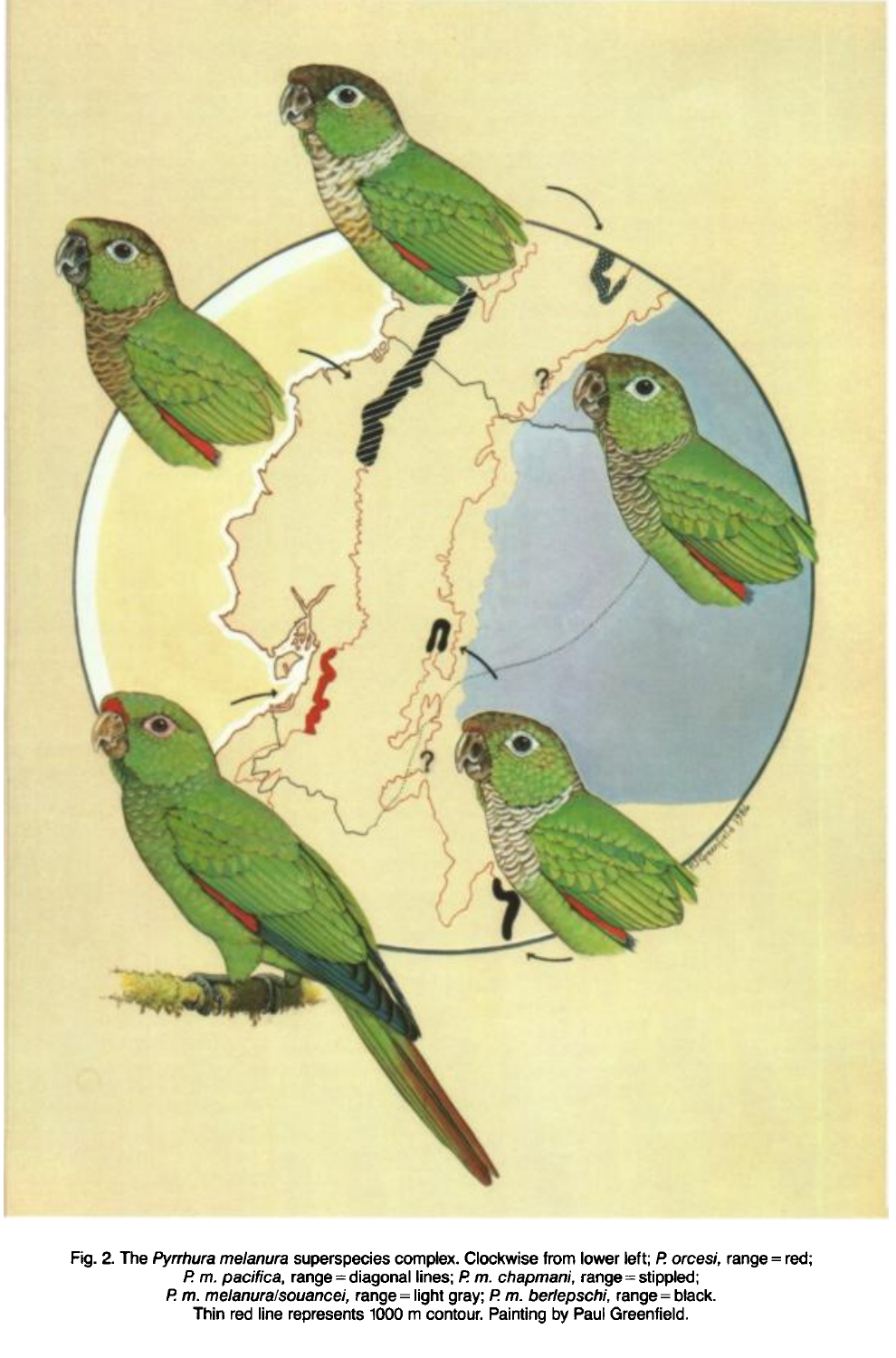

**Fig. 2. The Pyrrhura melanura superspecies complex. Clockwise from lower left; /? orcesi, range = red;**  P. m. pacifica, range = diagonal lines; P. m. chapmani, range = stippled; **I? m. melanuralsouancei, range = light gray; I? m. berfepschi, range = black. Thin red line represents 1000 m contour. Painting by Paul Greenfield.**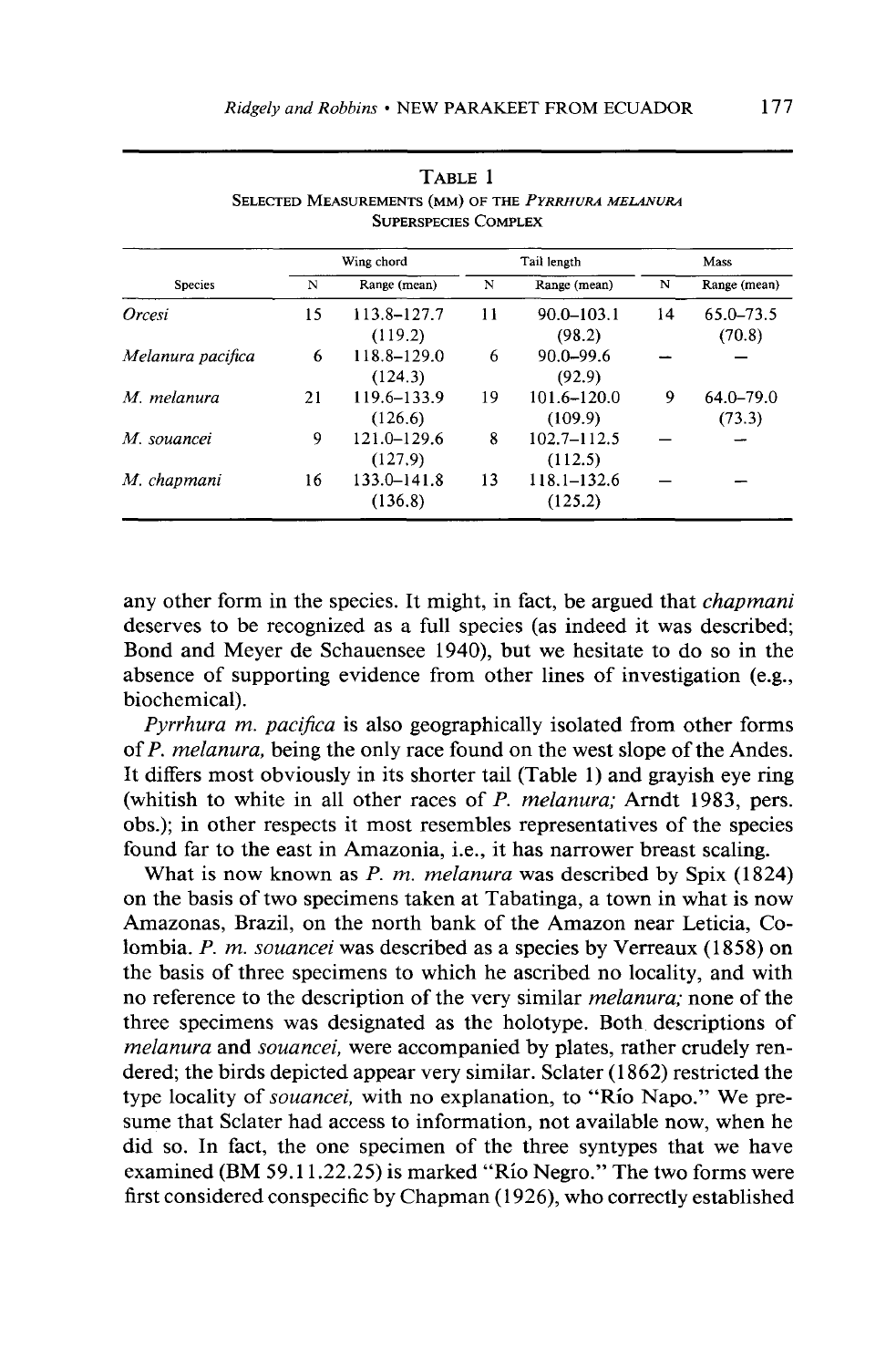| <b>Species</b>    | Wing chord |                 | Tail length |                 | Mass |              |
|-------------------|------------|-----------------|-------------|-----------------|------|--------------|
|                   | N          | Range (mean)    | N           | Range (mean)    | N    | Range (mean) |
| Orcesi            | 15         | 113.8-127.7     | 11          | $90.0 - 103.1$  | 14   | 65.0–73.5    |
|                   |            | (119.2)         |             | (98.2)          |      | (70.8)       |
| Melanura pacifica | 6          | 118.8-129.0     | 6           | $90.0 - 99.6$   |      |              |
|                   |            | (124.3)         |             | (92.9)          |      |              |
| M. melanura       | 21         | 119.6-133.9     | 19          | 101.6–120.0     | 9    | 64.0–79.0    |
|                   |            | (126.6)         |             | (109.9)         |      | (73.3)       |
| M. souancei       | 9          | 121.0-129.6     | 8           | $102.7 - 112.5$ |      |              |
|                   |            | (127.9)         |             | (112.5)         |      |              |
| M. chapmani       | 16         | $133.0 - 141.8$ | 13          | $118.1 - 132.6$ |      |              |
|                   |            | (136.8)         |             | (125.2)         |      |              |

**TABLE 1**  SELECTED MEASUREMENTS (MM) OF THE PYRRHURA MELANURA **SUPERSPECIES COMPLEX** 

**any other form in the species. It might, in fact, be argued that chapmani deserves to be recognized as a full species (as indeed it was described; Bond and Meyer de Schauensee 1940), but we hesitate to do so in the absence of supporting evidence from other lines of investigation (e.g., biochemical).** 

Pyrrhura *m. pacifica* is also geographically isolated from other forms **of P. melanura, being the only race found on the west slope of the Andes. It differs most obviously in its shorter tail (Table 1) and grayish eye ring**  (whitish to white in all other races of P. melanura; Arndt 1983, pers. **obs.); in other respects it most resembles representatives of the species found far to the east in Amazonia, i.e., it has narrower breast scaling.** 

**What is now known as P. m. melanura was described by Spix (1824) on the basis of two specimens taken at Tabatinga, a town in what is now Amazonas, Brazil, on the north bank of the Amazon near Leticia, Colombia. P. m. souancei was described as a species by Verreaux (1858) on the basis of three specimens to which he ascribed no locality, and with no reference to the description of the very similar melanura; none of the three specimens was designated as the holotype. Both descriptions of melanura and souancei, were accompanied by plates, rather crudely rendered; the birds depicted appear very similar. Sclater (1862) restricted the type locality of souancei, with no explanation, to "Rio Napo." We presume that Sclater had access to information, not available now, when he did so. In fact, the one specimen of the three syntypes that we have examined (BM 59.11.22.25) is marked "Rio Negro." The two forms were first considered conspecific by Chapman (1926), who correctly established**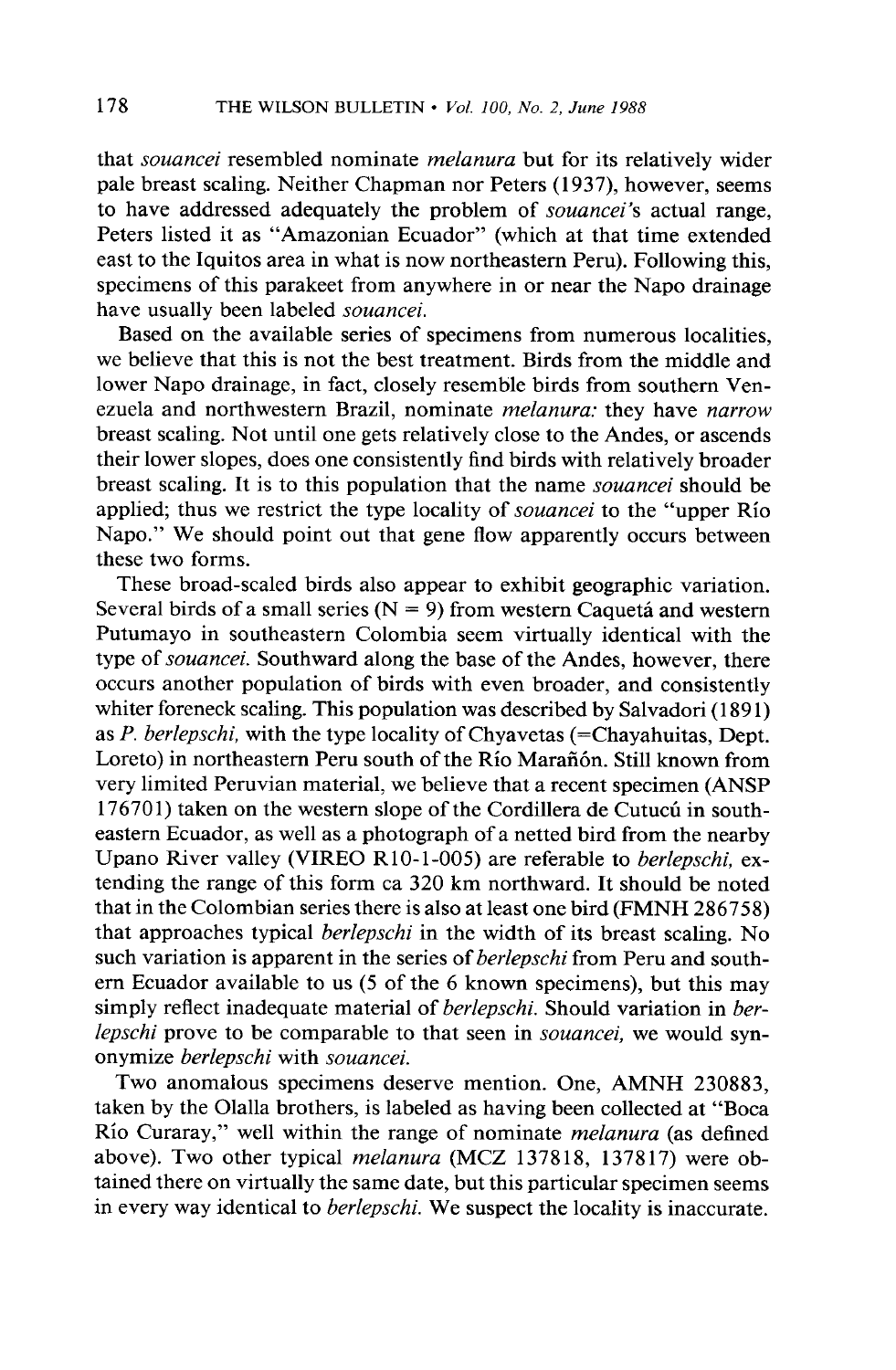**that souancei resembled nominate melunuru but for its relatively wider pale breast scaling. Neither Chapman nor Peters (1937) however, seems**  to have addressed adequately the problem of *souancei's* actual range, **Peters listed it as "Amazonian Ecuador" (which at that time extended east to the Iquitos area in what is now northeastern Peru). Following this, specimens of this parakeet from anywhere in or near the Napo drainage have usually been labeled souancei.** 

**Based on the available series of specimens from numerous localities, we believe that this is not the best treatment. Birds from the middle and lower Napo drainage, in fact, closely resemble birds from southern Ven**ezuela and northwestern Brazil, nominate *melanura*: they have *narrow* **breast scaling. Not until one gets relatively close to the Andes, or ascends their lower slopes, does one consistently find birds with relatively broader breast scaling.** It is to this population that the name *souancei* should be applied; thus we restrict the type locality of *souancei* to the "upper Rio **Napo." We should point out that gene flow apparently occurs between these two forms.** 

**These broad-scaled birds also appear to exhibit geographic variation.**  Several birds of a small series  $(N = 9)$  from western Caquetá and western **Putumayo in southeastern Colombia seem virtually identical with the type of souuncei. Southward along the base of the Andes, however, there occurs another population of birds with even broader, and consistently whiter foreneck scaling. This population was described by Salvadori (189 1) as P. berlepschi, with the type locality of Chyavetas (=Chayahuitas, Dept.**  Loreto) in northeastern Peru south of the Río Marañón. Still known from **very limited Peruvian material, we believe that a recent specimen (ANSP**  176701) taken on the western slope of the Cordillera de Cutucú in south**eastern Ecuador, as well as a photograph of a netted bird from the nearby Upano River valley (VIREO RlO-1-005) are referable to berlepschi, extending the range of this form ca 320 km northward. It should be noted that in the Colombian series there is also at least one bird (FMNH 286758) that approaches typical berlepschi in the width of its breast scaling. No such variation is apparent in the series of berlepschi from Peru and southern Ecuador available to us (5 of the 6 known specimens), but this may simply reflect inadequate material of berlepschi. Should variation in ber**lepschi prove to be comparable to that seen in *souancei*, we would syn**onymize** *berlepschi* with *souancei*.

**Two anomalous specimens deserve mention. One, AMNH 230883, taken by the Olalla brothers, is labeled as having been collected at "Boca**  Rio Curaray," well within the range of nominate *melanura* (as defined above). Two other typical *melanura* (MCZ 137818, 137817) were ob**tained there on virtually the same date, but this particular specimen seems in every way identical to berlepschi. We suspect the locality is inaccurate.**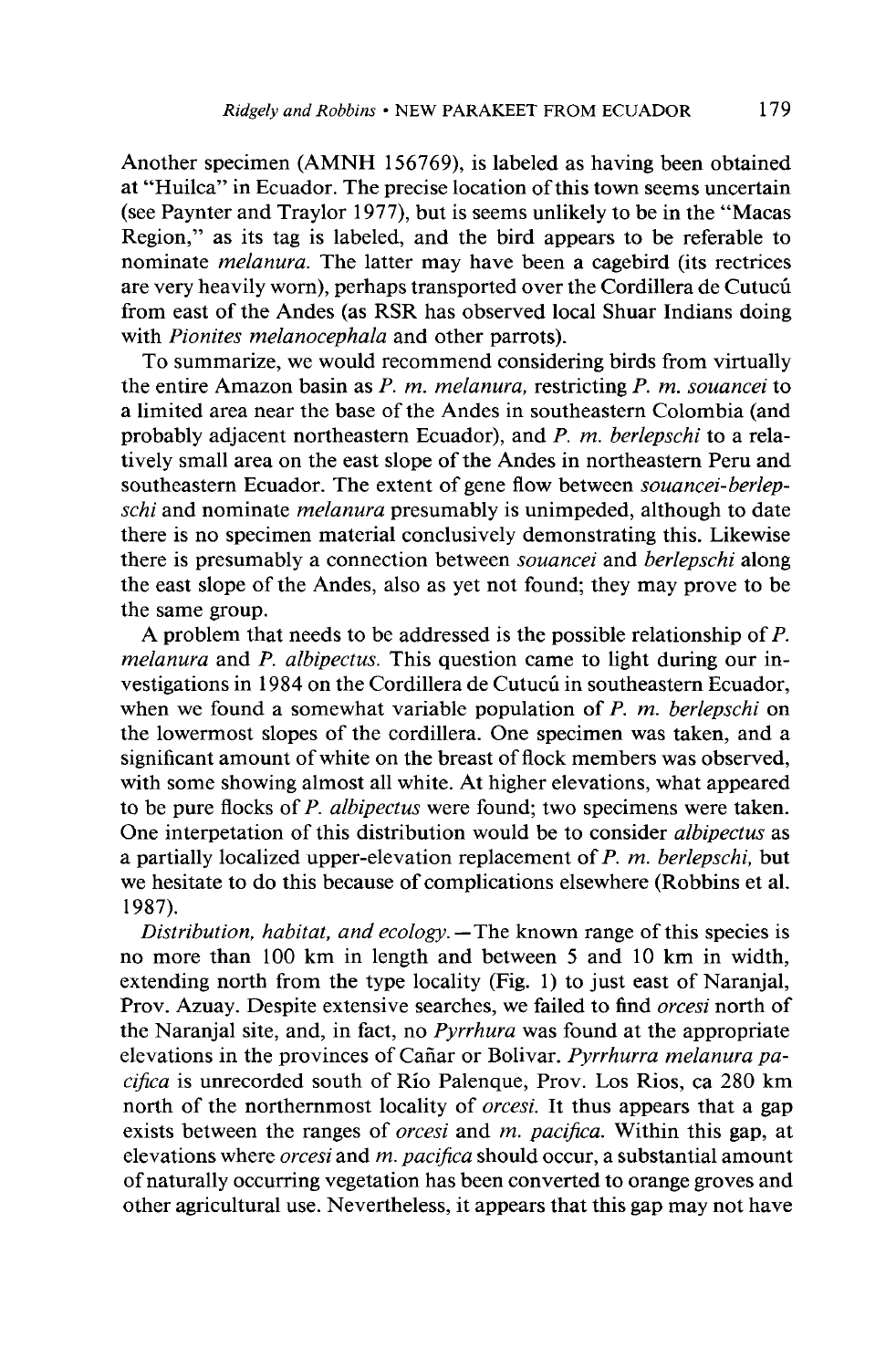**Another specimen (AMNH 156769), is labeled as having been obtained at "Huilca" in Ecuador. The precise location of this town seems uncertain (see Paynter and Traylor 1977) but is seems unlikely to be in the "Macas Region," as its tag is labeled, and the bird appears to be referable to nominate melanura. The latter may have been a cagebird (its rectrices are very heavily worn), perhaps transported over the Cordillera de Cutucti from east of the Andes (as RSR has observed local Shuar Indians doing with Pionites melanocephala and other parrots).** 

**To summarize, we would recommend considering birds from virtually the entire Amazon basin as P. m. melanura, restricting P. m. souancei to a limited area near the base of the Andes in southeastern Colombia (and**  probably adjacent northeastern Ecuador), and P. m. berlepschi to a rela**tively small area on the east slope of the Andes in northeastern Peru and southeastern Ecuador. The extent of gene flow between souancei-berlepschi and nominate melanura presumably is unimpeded, although to date there is no specimen material conclusively demonstrating this. Likewise there is presumably a connection between souancei and berlepschi along the east slope of the Andes, also as yet not found; they may prove to be the same group.** 

**A problem that needs to be addressed is the possible relationship of P. melanura and P. albipectus. This question came to light during our in**vestigations in 1984 on the Cordillera de Cutucu in southeastern Ecuador, **when we found a somewhat variable population of P. m. berlepschi on the lowermost slopes of the cordillera. One specimen was taken, and a significant amount of white on the breast of flock members was observed, with some showing almost all white. At higher elevations, what appeared to be pure flocks of P. albipectus were found; two specimens were taken. One interpetation of this distribution would be to consider albipectus as a partially localized upper-elevation replacement of P. m. berlepschi, but we hesitate to do this because of complications elsewhere (Robbins et al. 1987).** 

Distribution, habitat, and ecology. - The known range of this species is **no more than 100 km in length and between 5 and 10 km in width, extending north from the type locality (Fig. 1) to just east of Naranjal, Prov. Azuay. Despite extensive searches, we failed to find orcesi north of the Naranjal site, and, in fact, no Pyrrhura was found at the appropriate**  elevations in the provinces of Cañar or Bolivar. Pyrrhurra melanura pacifica is unrecorded south of Río Palenque, Prov. Los Rios, ca 280 km **north of the northernmost locality of orcesi. It thus appears that a gap exists between the ranges of orcesi and m. pacifica. Within this gap, at elevations where orcesi and m. pacijica should occur, a substantial amount of naturally occurring vegetation has been converted to orange groves and other agricultural use. Nevertheless, it appears that this gap may not have**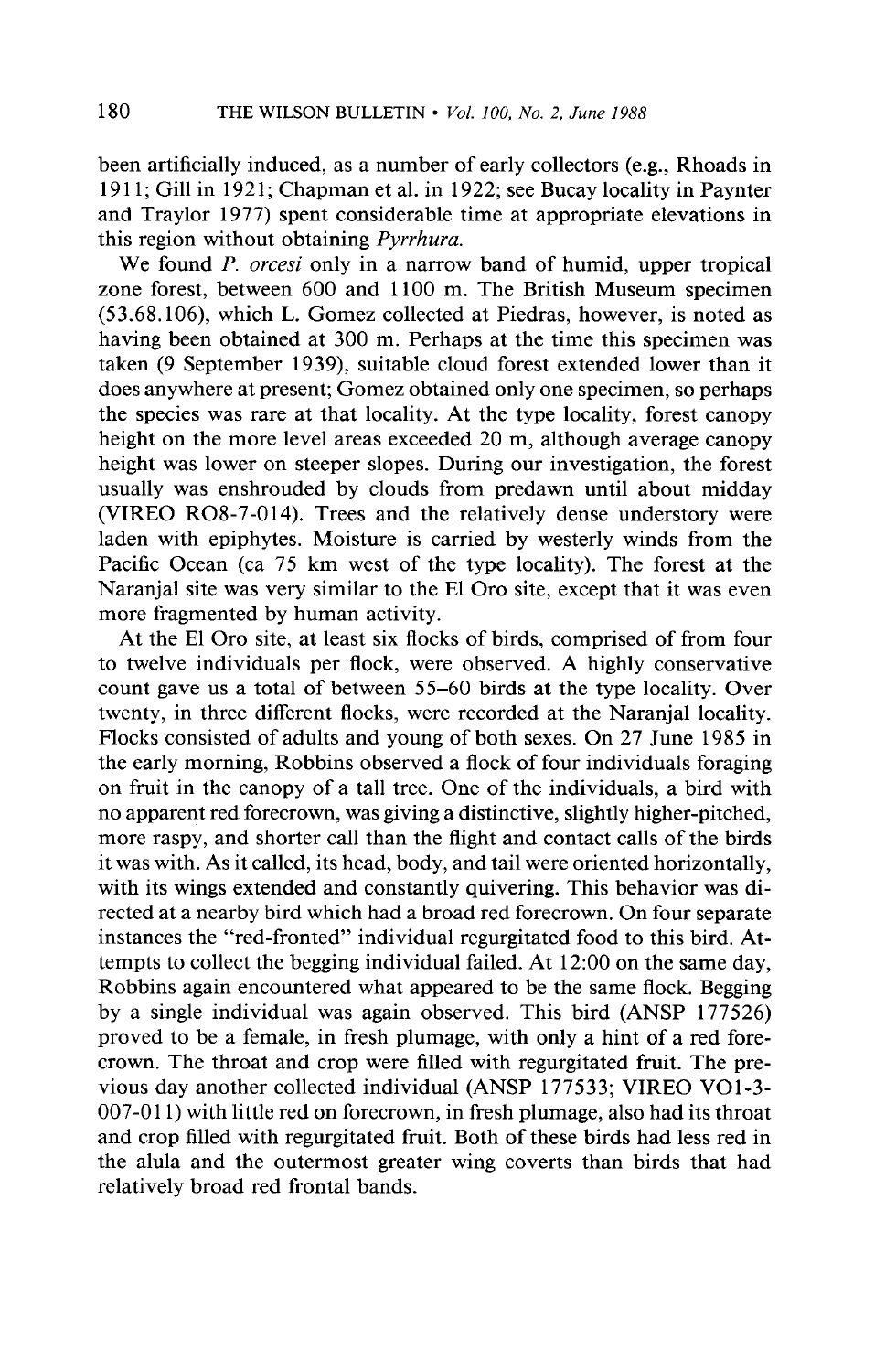**been artificially induced, as a number of early collectors (e.g., Rhoads in 19 11; Gill in 1921; Chapman et al. in 1922; see Bucay locality in Paynter and Traylor 1977) spent considerable time at appropriate elevations in this region without obtaining Pyrrhura.** 

**We found P. orcesi only in a narrow band of humid, upper tropical zone forest, between 600 and 1100 m. The British Museum specimen (53.68.106), which L. Gomez collected at Piedras, however, is noted as having been obtained at 300 m. Perhaps at the time this specimen was taken (9 September 1939), suitable cloud forest extended lower than it does anywhere at present; Gomez obtained only one specimen, so perhaps the species was rare at that locality. At the type locality, forest canopy height on the more level areas exceeded 20 m, although average canopy height was lower on steeper slopes. During our investigation, the forest usually was enshrouded by clouds from predawn until about midday (VIREO R08-7-014). Trees and the relatively dense understory were laden with epiphytes. Moisture is carried by westerly winds from the Pacific Ocean (ca 75 km west of the type locality). The forest at the Naranjal site was very similar to the El Oro site, except that it was even more fragmented by human activity.** 

**At the El Oro site, at least six flocks of birds, comprised of from four to twelve individuals per flock, were observed. A highly conservative count gave us a total of between 55-60 birds at the type locality. Over twenty, in three different flocks, were recorded at the Naranjal locality. Flocks consisted of adults and young of both sexes. On 27 June 1985 in the early morning, Robbins observed a flock of four individuals foraging on fruit in the canopy of a tall tree. One of the individuals, a bird with no apparent red forecrown, was giving a distinctive, slightly higher-pitched, more raspy, and shorter call than the flight and contact calls of the birds it was with. As it called, its head, body, and tail were oriented horizontally, with its wings extended and constantly quivering. This behavior was directed at a nearby bird which had a broad red forecrown. On four separate instances the "red-fronted" individual regurgitated food to this bird. Attempts to collect the begging individual failed. At 12:OO on the same day, Robbins again encountered what appeared to be the same flock. Begging by a single individual was again observed. This bird (ANSP 177526) proved to be a female, in fresh plumage, with only a hint of a red forecrown. The throat and crop were filled with regurgitated fruit. The previous day another collected individual (ANSP 177533; VIREO VOl-3- 007-O 11) with little red on forecrown, in fresh plumage, also had its throat and crop filled with regurgitated fruit. Both of these birds had less red in the alula and the outermost greater wing coverts than birds that had relatively broad red frontal bands.**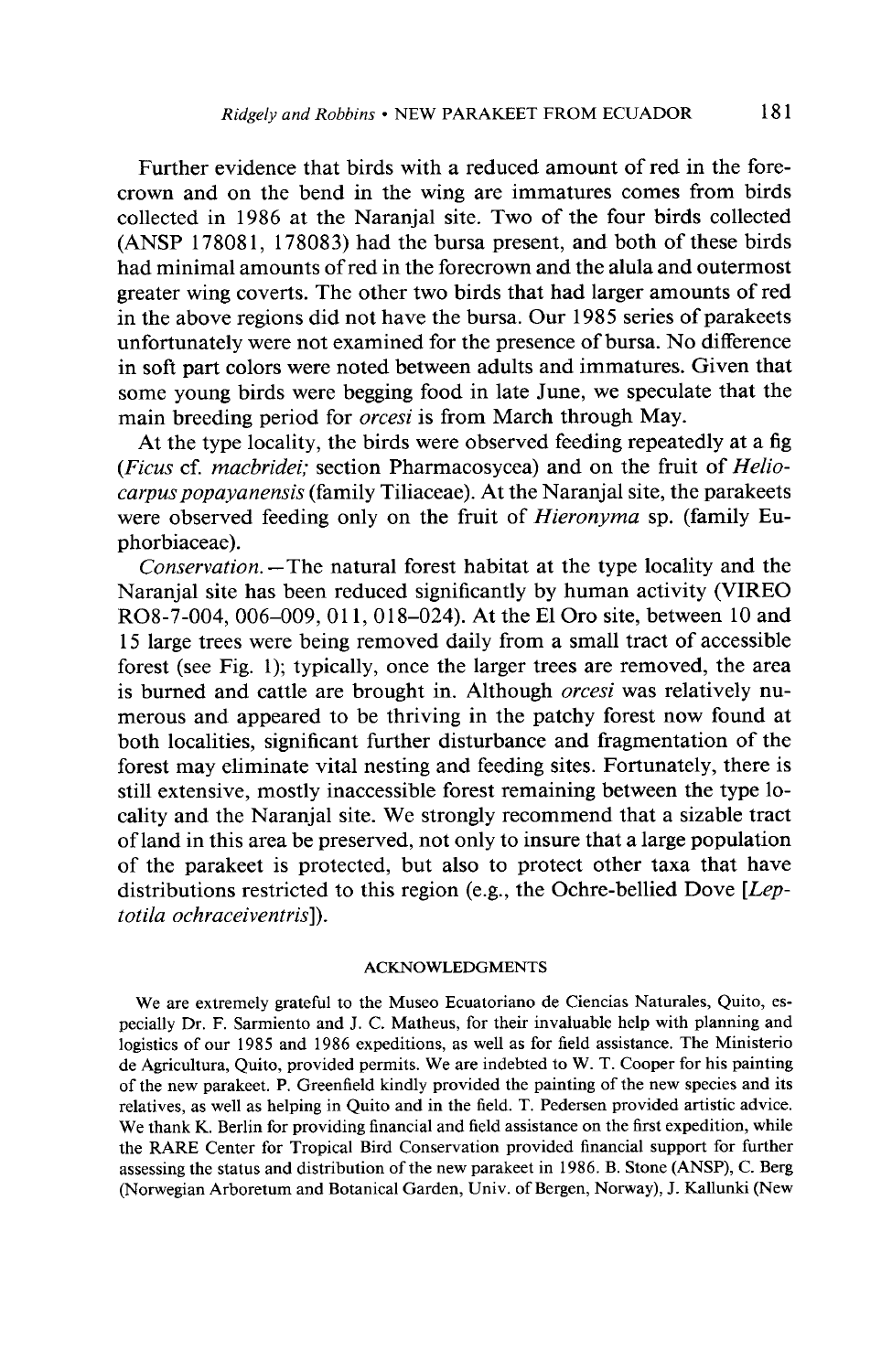**Further evidence that birds with a reduced amount of red in the forecrown and on the bend in the wing are immatures comes from birds collected in 1986 at the Naranjal site. Two of the four birds collected (ANSP 17808 1, 178083) had the bursa present, and both of these birds had minimal amounts of red in the forecrown and the alula and outermost greater wing coverts. The other two birds that had larger amounts of red in the above regions did not have the bursa. Our 1985 series of parakeets unfortunately were not examined for the presence of bursa. No difference in soft part colors were noted between adults and immatures. Given that some young birds were begging food in late June, we speculate that the main breeding period for orcesi is from March through May.** 

**At the type locality, the birds were observed feeding repeatedly at a fig (Ficus cf. macbridei; section Pharmacosycea) and on the fruit of Heliocarpuspopayanensis (family Tiliaceae). At the Naranjal site, the parakeets**  were observed feeding only on the fruit of *Hieronyma* sp. (family Eu**phorbiaceae).** 

**Conservation. -The natural forest habitat at the type locality and the Naranjal site has been reduced significantly by human activity (VIREO R08-7-004, 006-009, 0 11, 0 18-024). At the El Oro site, between 10 and 15 large trees were being removed daily from a small tract of accessible forest (see Fig. 1); typically, once the larger trees are removed, the area is burned and cattle are brought in. Although orcesi was relatively numerous and appeared to be thriving in the patchy forest now found at both localities, significant further disturbance and fragmentation of the forest may eliminate vital nesting and feeding sites. Fortunately, there is still extensive, mostly inaccessible forest remaining between the type locality and the Naranjal site. We strongly recommend that a sizable tract of land in this area be preserved, not only to insure that a large population of the parakeet is protected, but also to protect other taxa that have distributions restricted to this region (e.g., the Ochre-bellied Dove [Leptotila ochraceiventris]).** 

#### **ACKNOWLEDGMENTS**

**We are extremely grateful to the Museo Ecuatoriano de Ciencias Naturales, Quito, especially Dr. F. Sarmiento and J. C. Matheus, for their invaluable help with planning and logistics of our 1985 and 1986 expeditions, as well as for field assistance. The Ministerio de Agricultura, Quito, provided permits. We are indebted to W. T. Cooper for his painting of the new parakeet. P. Greenfield kindly provided the painting of the new species and its relatives, as well as helping in Quito and in the field. T. Pedersen provided artistic advice. We thank K. Berlin for providing financial and field assistance on the first expedition, while the RARE Center for Tropical Bird Conservation provided financial support for further assessing the status and distribution of the new parakeet in 1986. B. Stone (ANSP), C. Berg (Norwegian Arboretum and Botanical Garden, Univ. of Bergen, Norway), J. Kallunki (New**